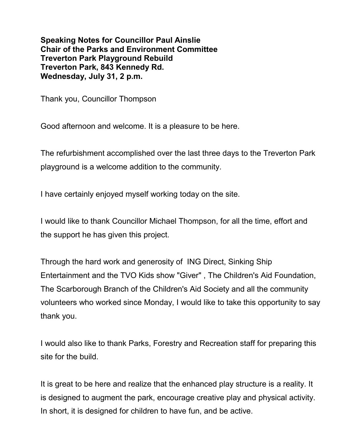**Speaking Notes for Councillor Paul Ainslie Chair of the Parks and Environment Committee Treverton Park Playground Rebuild Treverton Park, 843 Kennedy Rd. Wednesday, July 31, 2 p.m.**

Thank you, Councillor Thompson

Good afternoon and welcome. It is a pleasure to be here.

The refurbishment accomplished over the last three days to the Treverton Park playground is a welcome addition to the community.

I have certainly enjoyed myself working today on the site.

I would like to thank Councillor Michael Thompson, for all the time, effort and the support he has given this project.

Through the hard work and generosity of ING Direct, Sinking Ship Entertainment and the TVO Kids show "Giver" , The Children's Aid Foundation, The Scarborough Branch of the Children's Aid Society and all the community volunteers who worked since Monday, I would like to take this opportunity to say thank you.

I would also like to thank Parks, Forestry and Recreation staff for preparing this site for the build.

It is great to be here and realize that the enhanced play structure is a reality. It is designed to augment the park, encourage creative play and physical activity. In short, it is designed for children to have fun, and be active.